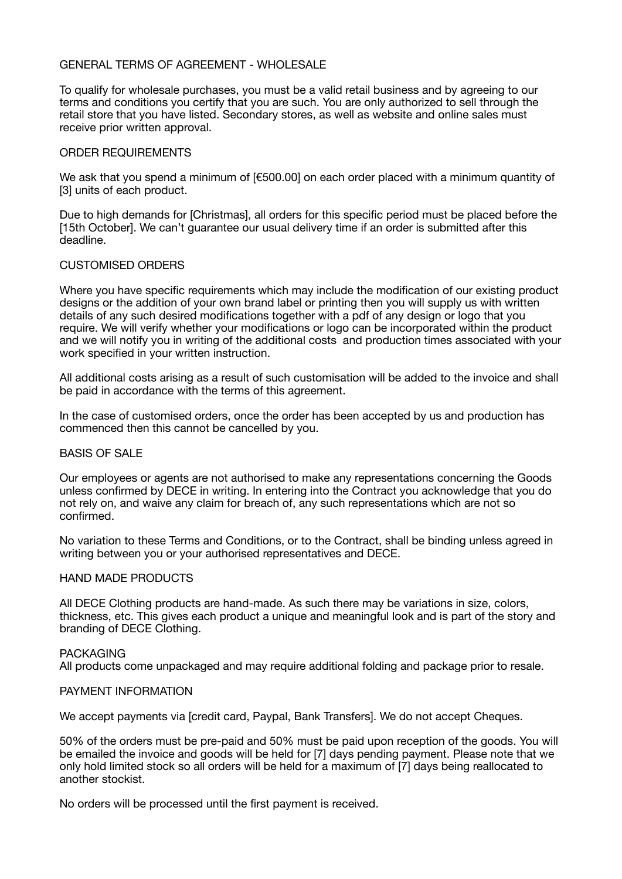### GENERAL TERMS OF AGREEMENT - WHOLESALE

To qualify for wholesale purchases, you must be a valid retail business and by agreeing to our terms and conditions you certify that you are such. You are only authorized to sell through the retail store that you have listed. Secondary stores, as well as website and online sales must receive prior written approval.

### ORDER REQUIREMENTS

We ask that you spend a minimum of [€500.00] on each order placed with a minimum quantity of [3] units of each product.

Due to high demands for [Christmas], all orders for this specific period must be placed before the [15th October]. We can't guarantee our usual delivery time if an order is submitted after this deadline.

## CUSTOMISED ORDERS

Where you have specific requirements which may include the modification of our existing product designs or the addition of your own brand label or printing then you will supply us with written details of any such desired modifications together with a pdf of any design or logo that you require. We will verify whether your modifications or logo can be incorporated within the product and we will notify you in writing of the additional costs and production times associated with your work specified in your written instruction.

All additional costs arising as a result of such customisation will be added to the invoice and shall be paid in accordance with the terms of this agreement.

In the case of customised orders, once the order has been accepted by us and production has commenced then this cannot be cancelled by you.

### BASIS OF SALE

Our employees or agents are not authorised to make any representations concerning the Goods unless confirmed by DECE in writing. In entering into the Contract you acknowledge that you do not rely on, and waive any claim for breach of, any such representations which are not so confirmed.

No variation to these Terms and Conditions, or to the Contract, shall be binding unless agreed in writing between you or your authorised representatives and DECE.

# HAND MADE PRODUCTS

All DECE Clothing products are hand-made. As such there may be variations in size, colors, thickness, etc. This gives each product a unique and meaningful look and is part of the story and branding of DECE Clothing.

#### **PACKAGING**

All products come unpackaged and may require additional folding and package prior to resale.

#### PAYMENT INFORMATION

We accept payments via [credit card, Paypal, Bank Transfers]. We do not accept Cheques.

50% of the orders must be pre-paid and 50% must be paid upon reception of the goods. You will be emailed the invoice and goods will be held for [7] days pending payment. Please note that we only hold limited stock so all orders will be held for a maximum of [7] days being reallocated to another stockist.

No orders will be processed until the first payment is received.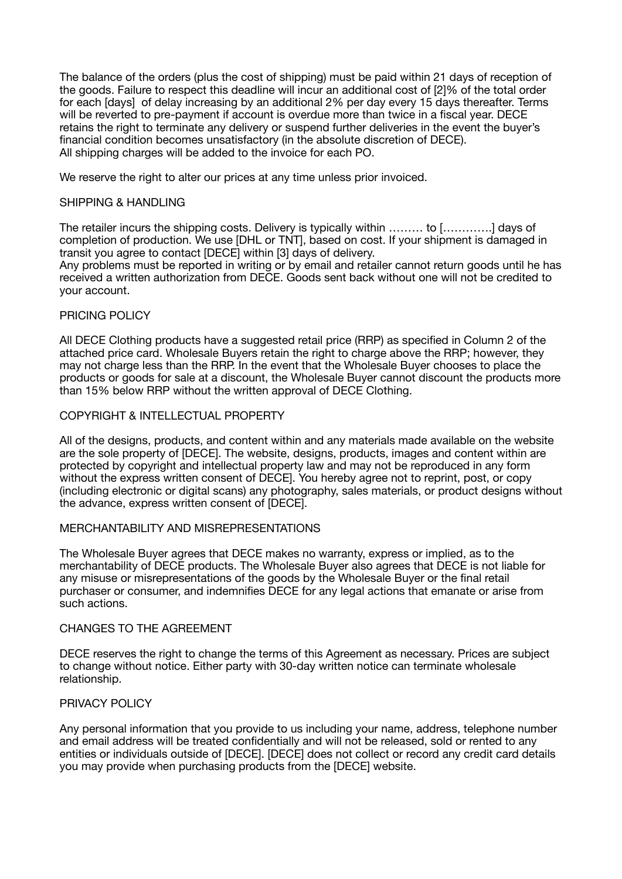The balance of the orders (plus the cost of shipping) must be paid within 21 days of reception of the goods. Failure to respect this deadline will incur an additional cost of [2]% of the total order for each Idaysl of delay increasing by an additional 2% per day every 15 days thereafter. Terms will be reverted to pre-payment if account is overdue more than twice in a fiscal year. DECE retains the right to terminate any delivery or suspend further deliveries in the event the buyer's financial condition becomes unsatisfactory (in the absolute discretion of DECE). All shipping charges will be added to the invoice for each PO.

We reserve the right to alter our prices at any time unless prior invoiced.

# SHIPPING & HANDLING

The retailer incurs the shipping costs. Delivery is typically within ……… to [………….] days of completion of production. We use [DHL or TNT], based on cost. If your shipment is damaged in transit you agree to contact [DECE] within [3] days of delivery.

Any problems must be reported in writing or by email and retailer cannot return goods until he has received a written authorization from DECE. Goods sent back without one will not be credited to your account.

# PRICING POLICY

All DECE Clothing products have a suggested retail price (RRP) as specified in Column 2 of the attached price card. Wholesale Buyers retain the right to charge above the RRP; however, they may not charge less than the RRP. In the event that the Wholesale Buyer chooses to place the products or goods for sale at a discount, the Wholesale Buyer cannot discount the products more than 15% below RRP without the written approval of DECE Clothing.

## COPYRIGHT & INTELLECTUAL PROPERTY

All of the designs, products, and content within and any materials made available on the website are the sole property of [DECE]. The website, designs, products, images and content within are protected by copyright and intellectual property law and may not be reproduced in any form without the express written consent of DECE]. You hereby agree not to reprint, post, or copy (including electronic or digital scans) any photography, sales materials, or product designs without the advance, express written consent of [DECE].

#### MERCHANTABILITY AND MISREPRESENTATIONS

The Wholesale Buyer agrees that DECE makes no warranty, express or implied, as to the merchantability of DECE products. The Wholesale Buyer also agrees that DECE is not liable for any misuse or misrepresentations of the goods by the Wholesale Buyer or the final retail purchaser or consumer, and indemnifies DECE for any legal actions that emanate or arise from such actions.

## CHANGES TO THE AGREEMENT

DECE reserves the right to change the terms of this Agreement as necessary. Prices are subject to change without notice. Either party with 30-day written notice can terminate wholesale relationship.

# PRIVACY POLICY

Any personal information that you provide to us including your name, address, telephone number and email address will be treated confidentially and will not be released, sold or rented to any entities or individuals outside of [DECE]. [DECE] does not collect or record any credit card details you may provide when purchasing products from the [DECE] website.